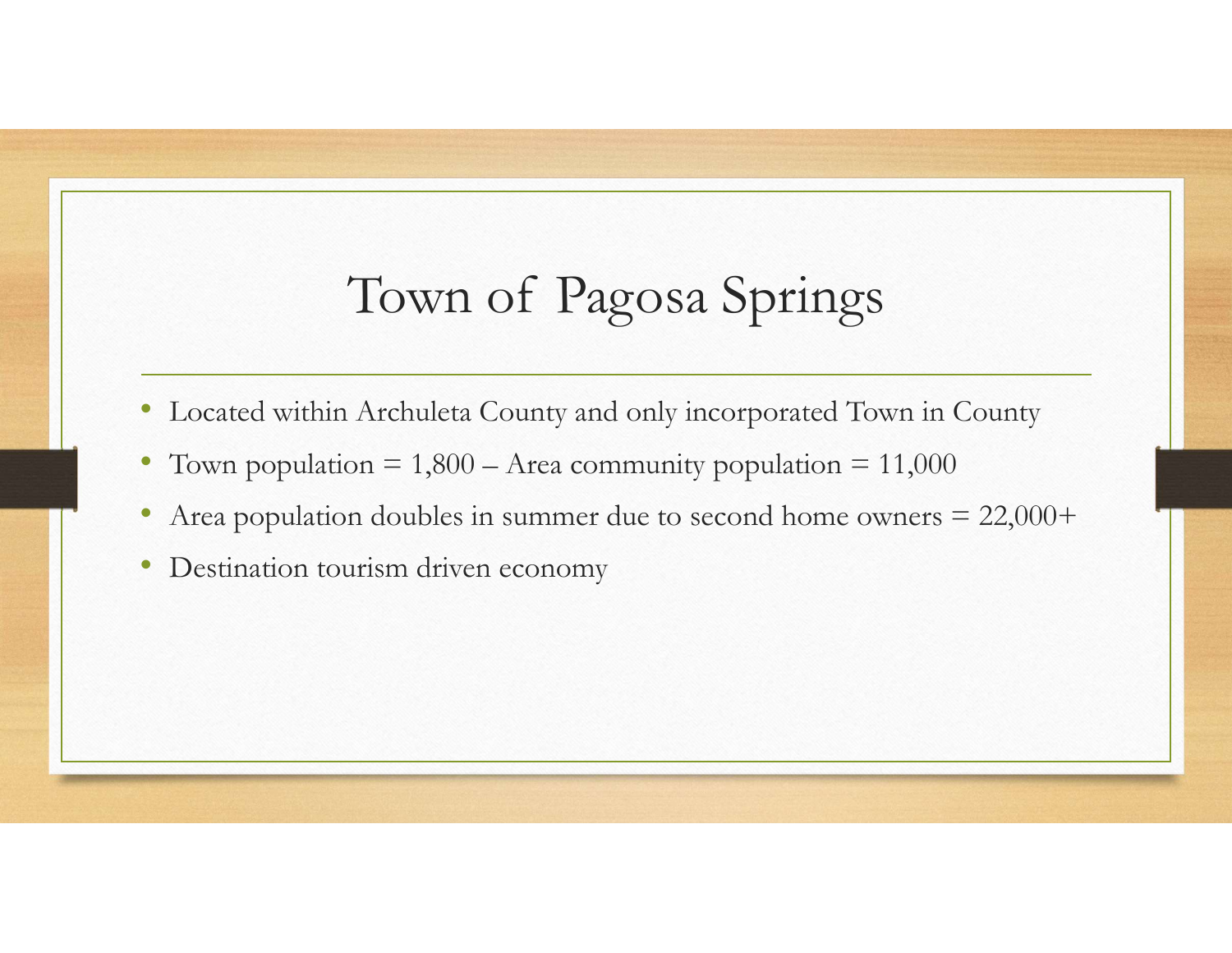## Town of Pagosa Springs<br>Archuleta County and only incorporated Town in County France Town Community Community Server Town in County<br>
• Located within Archuleta County and only incorporated Town in County<br>
• Town population = 1,800 – Area community population = 11,000<br>
• Area population doubles in su • Cocated within Archuleta County and only incorporated Town in County<br>• Located within Archuleta County and only incorporated Town in County<br>• Town population = 1,800 – Area community population = 11,000<br>• Area population

- Located within Archuleta County and only incorporated Town in County
- 
- 
- Destination tourism driven economy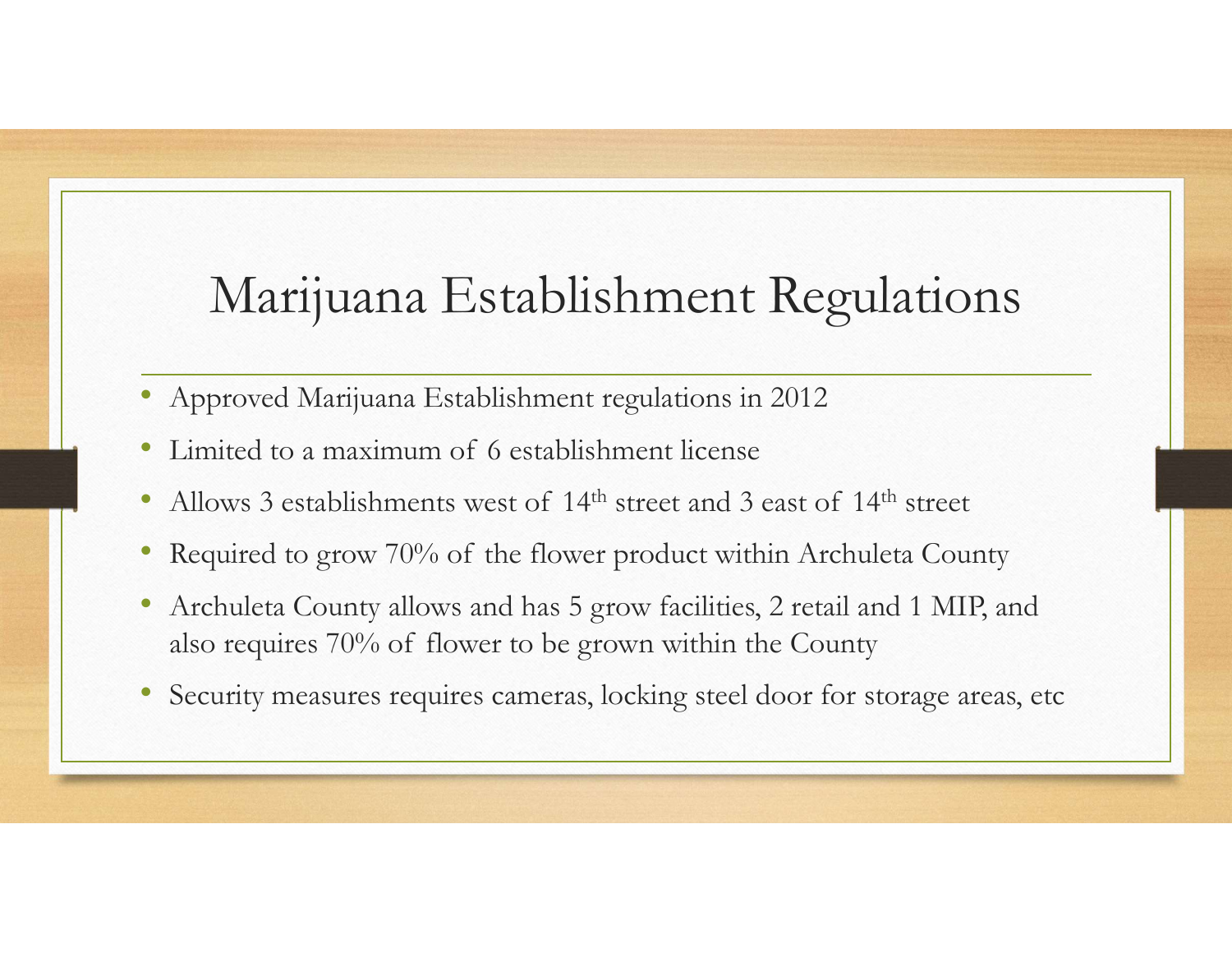## Marijuana Establishment Regulations Marijuana Establishment Regulation<br>• Approved Marijuana Establishment regulations in 2012<br>• Limited to a maximum of 6 establishment license<br>• Allows 3 establishments west of 14<sup>th</sup> street and 3 east of 14<sup>th</sup> street<br>• Requ 1990 Marijuana Establishment Regulations<br>• Approved Marijuana Establishment regulations in 2012<br>• Limited to a maximum of 6 establishment license<br>• Allows 3 establishments west of 14<sup>th</sup> street and 3 east of 14<sup>th</sup> street<br>

- Approved Marijuana Establishment regulations in 2012
- 
- 
- 
- Marijuana Establishment Regulations<br>• Approved Marijuana Establishment regulations in 2012<br>• Limited to a maximum of 6 establishment license<br>• Allows 3 establishments west of 14<sup>th</sup> street and 3 east of 14<sup>th</sup> street<br>• Req • Archuleta County allows and has 5 grow facilities, 2 retail and 1 MIP, and Marijuana Establishment Regulations<br>Approved Marijuana Establishment regulations in 2012<br>Limited to a maximum of 6 establishment license<br>Allows 3 establishments west of 14<sup>th</sup> street and 3 east of 14<sup>th</sup> street<br>Required to
- Security measures requires cameras, locking steel door for storage areas, etc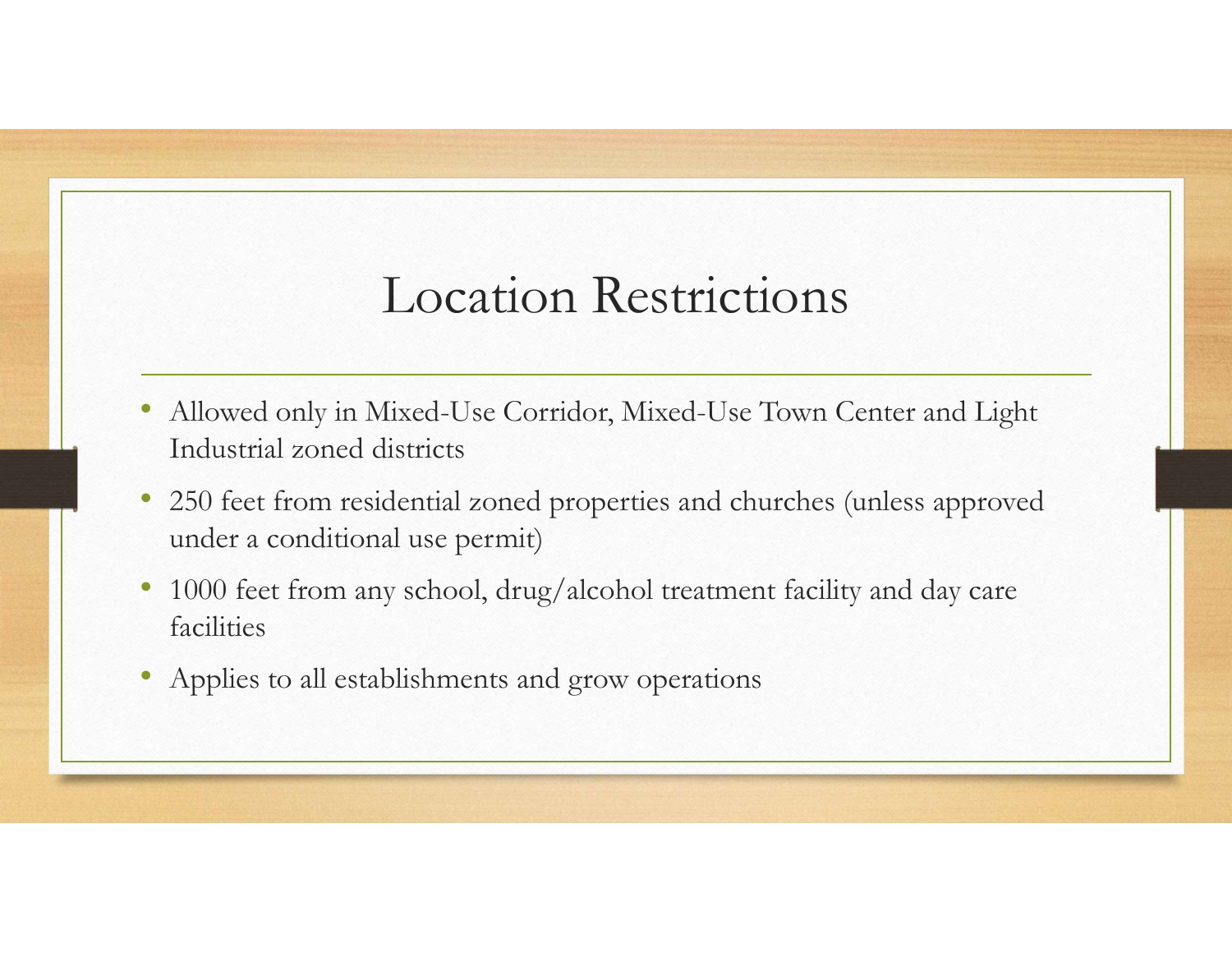## Location Restrictions

- Allowed only in Mixed-Use Corridor, Mixed-Use Town Center and Light Industrial zoned districts
- 250 feet from residential zoned properties and churches (unless approved under a conditional use permit)
- 1000 feet from any school, drug/alcohol treatment facility and day care facilities
- Applies to all establishments and grow operations